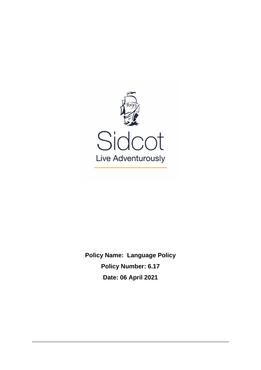

**Policy Name: Language Policy Policy Number: 6.17 Date: 06 April 2021**

\_\_\_\_\_\_\_\_\_\_\_\_\_\_\_\_\_\_\_\_\_\_\_\_\_\_\_\_\_\_\_\_\_\_\_\_\_\_\_\_\_\_\_\_\_\_\_\_\_\_\_\_\_\_\_\_\_\_\_\_\_\_\_\_\_\_\_\_\_\_\_\_\_\_\_\_\_\_\_\_\_\_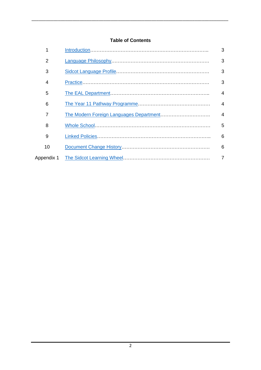# **Table of Contents**

\_\_\_\_\_\_\_\_\_\_\_\_\_\_\_\_\_\_\_\_\_\_\_\_\_\_\_\_\_\_\_\_\_\_\_\_\_\_\_\_\_\_\_\_\_\_\_\_\_\_\_\_\_\_\_\_\_\_\_\_\_\_\_\_\_\_\_\_\_\_\_\_\_\_\_\_\_\_\_\_\_\_

| 1  | 3                        |
|----|--------------------------|
| 2  | 3                        |
| 3  | 3                        |
| 4  | 3                        |
| 5  | 4                        |
| 6  | $\overline{\mathcal{A}}$ |
| 7  | 4                        |
| 8  | 5                        |
| 9  | 6                        |
| 10 | 6                        |
|    | 7                        |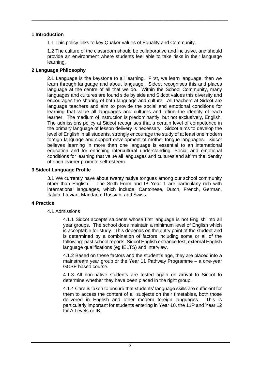## <span id="page-2-0"></span>**1 Introduction**

1.1 This policy links to key Quaker values of Equality and Community.

\_\_\_\_\_\_\_\_\_\_\_\_\_\_\_\_\_\_\_\_\_\_\_\_\_\_\_\_\_\_\_\_\_\_\_\_\_\_\_\_\_\_\_\_\_\_\_\_\_\_\_\_\_\_\_\_\_\_\_\_\_\_\_\_\_\_\_\_\_\_\_\_\_\_\_\_\_\_\_\_\_\_

1.2 The culture of the classroom should be collaborative and inclusive, and should provide an environment where students feel able to take risks in their language learning.

## <span id="page-2-1"></span>**2 Language Philosophy**

2.1 Language is the keystone to all learning. First, we learn language, then we learn through language and about language. Sidcot recognises this and places language at the centre of all that we do. Within the School Community, many languages and cultures are found side by side and Sidcot values this diversity and encourages the sharing of both language and culture. All teachers at Sidcot are language teachers and aim to provide the social and emotional conditions for learning that value all languages and cultures and affirm the identity of each learner. The medium of instruction is predominantly, but not exclusively, English. The admissions policy at Sidcot recognises that a certain level of competence in the primary language of lesson delivery is necessary. Sidcot aims to develop the level of English in all students, strongly encourage the study of at least one modern foreign language and support development of mother tongue languages. Sidcot believes learning in more than one language is essential to an international education and for enriching intercultural understanding. Social and emotional conditions for learning that value all languages and cultures and affirm the identity of each learner promote self-esteem.

## <span id="page-2-2"></span>**3 Sidcot Language Profile**

3.1 We currently have about twenty native tongues among our school community other than English. The Sixth Form and IB Year 1 are particularly rich with international languages, which include, Cantonese, Dutch, French, German, Italian, Latvian, Mandarin, Russian, and Swiss.

## <span id="page-2-3"></span>**4 Practice**

## 4.1 Admissions

4.1.1 Sidcot accepts students whose first language is not English into all year groups. The school does maintain a minimum level of English which is acceptable for study. This depends on the entry point of the student and is determined by a combination of factors including some or all of the following: past school reports, Sidcot English entrance test, external English language qualifications (eg IELTS) and interview.

4.1.2 Based on these factors and the student's age, they are placed into a mainstream year group or the Year 11 Pathway Programme – a one-year GCSE based course.

4.1.3 All non-native students are tested again on arrival to Sidcot to determine whether they have been placed in the right group.

4.1.4 Care is taken to ensure that students' language skills are sufficient for them to access the content of all subjects on their timetables, both those delivered in English and other modern foreign languages. This is particularly important for students entering in Year 10, the 11P and Year 12 for A Levels or IB.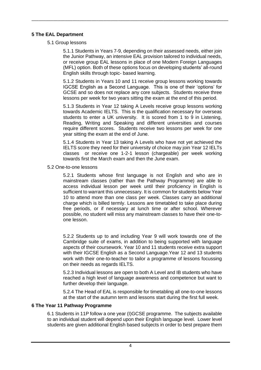# <span id="page-3-0"></span>**5 The EAL Department**

## 5.1 Group lessons

5.1.1 Students in Years 7-9, depending on their assessed needs, either join the Junior Pathway, an intensive EAL provision tailored to individual needs, or receive group EAL lessons in place of one Modern Foreign Languages (MFL) option. Both of these options focus on developing students' all-round English skills through topic- based learning.

\_\_\_\_\_\_\_\_\_\_\_\_\_\_\_\_\_\_\_\_\_\_\_\_\_\_\_\_\_\_\_\_\_\_\_\_\_\_\_\_\_\_\_\_\_\_\_\_\_\_\_\_\_\_\_\_\_\_\_\_\_\_\_\_\_\_\_\_\_\_\_\_\_\_\_\_\_\_\_\_\_\_

5.1.2 Students in Years 10 and 11 receive group lessons working towards IGCSE English as a Second Language. This is one of their 'options' for GCSE and so does not replace any core subjects. Students receive three lessons per week for two years sitting the exam at the end of this period.

5.1.3 Students in Year 12 taking A Levels receive group lessons working towards Academic IELTS. This is the qualification necessary for overseas students to enter a UK university. It is scored from 1 to 9 in Listening, Reading, Writing and Speaking and different universities and courses require different scores. Students receive two lessons per week for one year sitting the exam at the end of June.

5.1.4 Students in Year 13 taking A Levels who have not yet achieved the IELTS score they need for their university of choice may join Year 12 IELTs classes or receive one 1-2-1 lesson (chargeable) per week working towards first the March exam and then the June exam.

5.2 One-to-one lessons

5.2.1 Students whose first language is not English and who are in mainstream classes (rather than the Pathway Programme) are able to access individual lesson per week until their proficiency in English is sufficient to warrant this unnecessary. It is common for students below Year 10 to attend more than one class per week. Classes carry an additional charge which is billed termly. Lessons are timetabled to take place during free periods, or if necessary at lunch time or after school. Wherever possible, no student will miss any mainstream classes to have their one-toone lesson.

5.2.2 Students up to and including Year 9 will work towards one of the Cambridge suite of exams, in addition to being supported with language aspects of their coursework. Year 10 and 11 students receive extra support with their IGCSE English as a Second Language.Year 12 and 13 students work with their one-to-teacher to tailor a programme of lessons focussing on their needs as regards IELTS.

5.2.3 Individual lessons are open to both A Level and IB students who have reached a high level of language awareness and competence but want to further develop their language.

5.2.4 The Head of EAL is responsible for timetabling all one-to-one lessons at the start of the autumn term and lessons start during the first full week.

## <span id="page-3-1"></span>**6 The Year 11 Pathway Programme**

6.1 Students in 11P follow a one year (I)GCSE programme. The subjects available to an individual student will depend upon their English language level. Lower level students are given additional English based subjects in order to best prepare them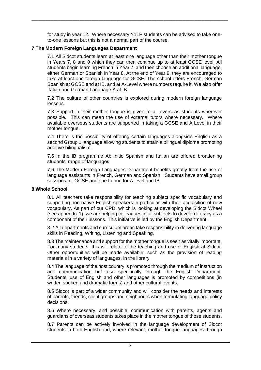for study in year 12. Where necessary Y11P students can be advised to take oneto-one lessons but this is not a normal part of the course.

\_\_\_\_\_\_\_\_\_\_\_\_\_\_\_\_\_\_\_\_\_\_\_\_\_\_\_\_\_\_\_\_\_\_\_\_\_\_\_\_\_\_\_\_\_\_\_\_\_\_\_\_\_\_\_\_\_\_\_\_\_\_\_\_\_\_\_\_\_\_\_\_\_\_\_\_\_\_\_\_\_\_

# <span id="page-4-0"></span>**7 The Modern Foreign Languages Department**

7.1 All Sidcot students learn at least one language other than their mother tongue in Years 7, 8 and 9 which they can then continue up to at least GCSE level. All students begin learning French in Year 7, and then choose an additional language, either German or Spanish in Year 8. At the end of Year 9, they are encouraged to take at least one foreign language for GCSE. The school offers French, German Spanish at GCSE and at IB, and at A-Level where numbers require it. We also offer Italian and German Language A at IB.

7.2 The culture of other countries is explored during modern foreign language lessons.

7.3 Support in their mother tongue is given to all overseas students wherever possible. This can mean the use of external tutors where necessary. Where available overseas students are supported in taking a GCSE and A Level in their mother tongue.

7.4 There is the possibility of offering certain languages alongside English as a second Group 1 language allowing students to attain a bilingual diploma promoting additive bilingualism.

7.5 In the IB programme Ab initio Spanish and Italian are offered broadening students' range of languages.

7,6 The Modern Foreign Languages Department benefits greatly from the use of language assistants in French, German and Spanish. Students have small group sessions for GCSE and one to one for A level and IB.

#### <span id="page-4-1"></span>**8 Whole School**

8.1 All teachers take responsibility for teaching subject specific vocabulary and supporting non-native English speakers in particular with their acquisition of new vocabulary. As part of our CPD, which is looking at developing the Sidcot Wheel (see appendix 1), we are helping colleagues in all subjects to develop literacy as a component of their lessons. This initiative is led by the English Department.

8.2 All departments and curriculum areas take responsibility in delivering language skills in Reading, Writing, Listening and Speaking.

8.3 The maintenance and support for the mother tongue is seen as vitally important. For many students, this will relate to the teaching and use of English at Sidcot. Other opportunities will be made available, such as the provision of reading materials in a variety of languages, in the library.

8.4 The language of the host country is promoted through the medium of instruction and communication but also specifically through the English Department. Students' use of English and other languages is promoted by competitions (in written spoken and dramatic forms) and other cultural events.

8.5 Sidcot is part of a wider community and will consider the needs and interests of parents, friends, client groups and neighbours when formulating language policy decisions.

8.6 Where necessary, and possible, communication with parents, agents and guardians of overseas students takes place in the mother tongue of those students.

8.7 Parents can be actively involved in the language development of Sidcot students in both English and, where relevant, mother tongue languages through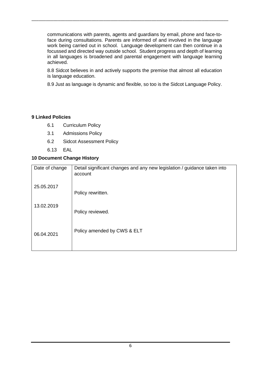communications with parents, agents and guardians by email, phone and face-toface during consultations. Parents are informed of and involved in the language work being carried out in school. Language development can then continue in a focussed and directed way outside school. Student progress and depth of learning in all languages is broadened and parental engagement with language learning achieved.

\_\_\_\_\_\_\_\_\_\_\_\_\_\_\_\_\_\_\_\_\_\_\_\_\_\_\_\_\_\_\_\_\_\_\_\_\_\_\_\_\_\_\_\_\_\_\_\_\_\_\_\_\_\_\_\_\_\_\_\_\_\_\_\_\_\_\_\_\_\_\_\_\_\_\_\_\_\_\_\_\_\_

8.8 Sidcot believes in and actively supports the premise that almost all education is language education.

8.9 Just as language is dynamic and flexible, so too is the Sidcot Language Policy.

# <span id="page-5-0"></span>**9 Linked Policies**

- 6.1 Curriculum Policy
- 3.1 Admissions Policy
- 6.2 Sidcot Assessment Policy
- 6.13 EAL

# <span id="page-5-1"></span>**10 Document Change History**

| Date of change | Detail significant changes and any new legislation / guidance taken into<br>account |
|----------------|-------------------------------------------------------------------------------------|
| 25.05.2017     | Policy rewritten.                                                                   |
| 13.02.2019     | Policy reviewed.                                                                    |
| 06.04.2021     | Policy amended by CWS & ELT                                                         |